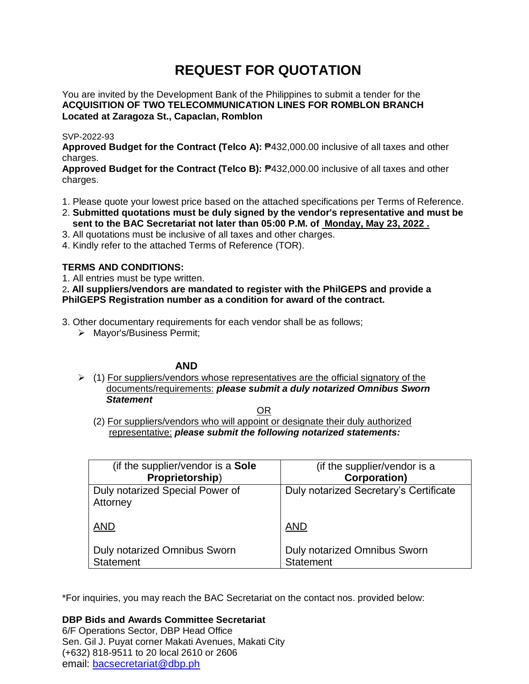# **REQUEST FOR QUOTATION**

You are invited by the Development Bank of the Philippines to submit a tender for the **ACQUISITION OF TWO TELECOMMUNICATION LINES FOR ROMBLON BRANCH Located at Zaragoza St., Capaclan, Romblon**

# SVP-2022-93

**Approved Budget for the Contract (Telco A):** ₱432,000.00 inclusive of all taxes and other charges.

**Approved Budget for the Contract (Telco B):** ₱432,000.00 inclusive of all taxes and other charges.

- 1. Please quote your lowest price based on the attached specifications per Terms of Reference.
- 2. **Submitted quotations must be duly signed by the vendor's representative and must be sent to the BAC Secretariat not later than 05:00 P.M. of Monday, May 23, 2022 .**
- 3. All quotations must be inclusive of all taxes and other charges.
- 4. Kindly refer to the attached Terms of Reference (TOR).

# **TERMS AND CONDITIONS:**

1. All entries must be type written.

2**. All suppliers/vendors are mandated to register with the PhilGEPS and provide a PhilGEPS Registration number as a condition for award of the contract.**

3. Other documentary requirements for each vendor shall be as follows;

> Mayor's/Business Permit;

# **AND**

 $\geq$  (1) For suppliers/vendors whose representatives are the official signatory of the documents/requirements: *please submit a duly notarized Omnibus Sworn Statement*

<u>OR Starting and the Starting of the Starting and Starting and Starting and Starting and Starting and Starting and Starting and Starting and Starting and Starting and Starting and Starting and Starting and Starting and Sta</u>

(2) For suppliers/vendors who will appoint or designate their duly authorized representative: *please submit the following notarized statements:*

| (if the supplier/vendor is a Sole           | (if the supplier/vendor is a           |
|---------------------------------------------|----------------------------------------|
| Proprietorship)                             | <b>Corporation)</b>                    |
| Duly notarized Special Power of<br>Attorney | Duly notarized Secretary's Certificate |
| <b>AND</b>                                  | <b>AND</b>                             |
| <b>Duly notarized Omnibus Sworn</b>         | <b>Duly notarized Omnibus Sworn</b>    |
| <b>Statement</b>                            | <b>Statement</b>                       |

\*For inquiries, you may reach the BAC Secretariat on the contact nos. provided below:

# **DBP Bids and Awards Committee Secretariat**

6/F Operations Sector, DBP Head Office Sen. Gil J. Puyat corner Makati Avenues, Makati City (+632) 818-9511 to 20 local 2610 or 2606 email: [bacsecretariat@dbp.ph](mailto:bacsecretariat@dbp.ph)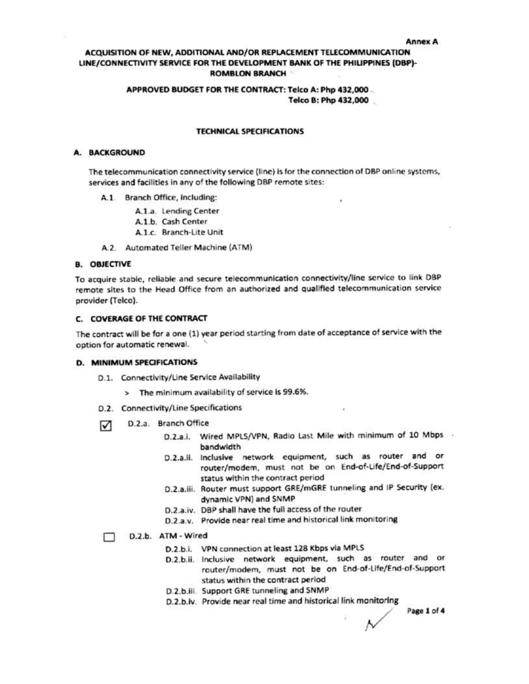#### **Annex A**

# ACQUISITION OF NEW, ADDITIONAL AND/OR REPLACEMENT TELECOMMUNICATION LINE/CONNECTIVITY SERVICE FOR THE DEVELOPMENT BANK OF THE PHILIPPINES (DBP)-**ROMBLON BRANCH**

### APPROVED BUDGET FOR THE CONTRACT: Telco A: Php 432,000 Telco B: Php 432,000

#### **TECHNICAL SPECIFICATIONS**

#### A. BACKGROUND

The telecommunication connectivity service (line) is for the connection of DBP online systems, services and facilities in any of the following DBP remote sites:

- A.1. Branch Office, including:
	- A.1.a. Lending Center
	- A.1.b. Cash Center
	- A.1.c. Branch-Lite Unit
- A.2. Automated Teller Machine (ATM)

#### **B. OBJECTIVE**

To acquire stable, reliable and secure telecommunication connectivity/line service to link DBP remote sites to the Head Office from an authorized and qualified telecommunication service provider (Telco).

# C. COVERAGE OF THE CONTRACT

The contract will be for a one (1) year period starting from date of acceptance of service with the option for automatic renewal.

#### **D. MINIMUM SPECIFICATIONS**

- D.1. Connectivity/Line Service Availability
	- > The minimum availability of service is 99.6%.
- D.2. Connectivity/Line Specifications
- D.2.a. Branch Office ☑
	- D.2.a.i. Wired MPLS/VPN, Radio Last Mile with minimum of 10 Mbps . bandwidth
	- D.2.a.ii. Inclusive network equipment, such as router and or router/modem, must not be on End-of-Life/End-of-Support status within the contract period
	- D.2.a.iii. Router must support GRE/mGRE tunneling and IP Security (ex. dynamic VPN) and SNMP
	- D.2.a.iv. DBP shall have the full access of the router
	- D.2.a.v. Provide near real time and historical link monitoring

#### D.2.b. ATM - Wired П.

- D.2.b.i. VPN connection at least 128 Kbps via MPLS
- D.2.b.ii. Inclusive network equipment, such as router and or router/modem, must not be on End-of-Life/End-of-Support status within the contract period
- D.2.b.iii. Support GRE tunneling and SNMP
- D.2.b.iv. Provide near real time and historical link monitoring

Page 1 of 4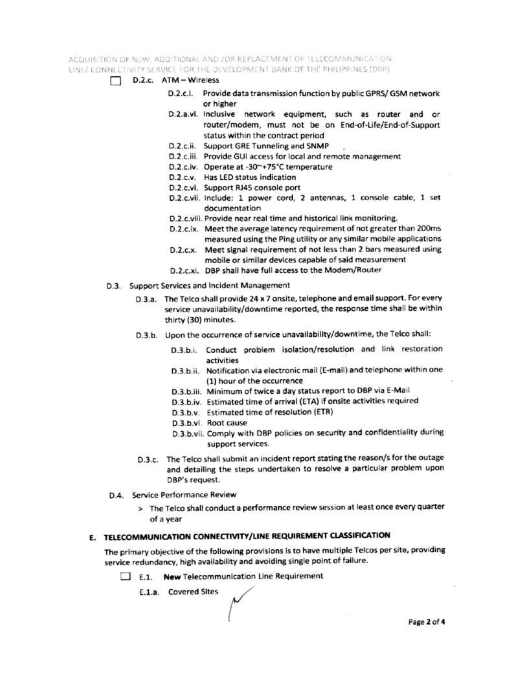ACQUISITION OF NEW ADDITIONAL AND JOR REPLACEMENT OF TELECOMMUNICATION. LINE/ CONNECTIVITY SERVICE FOR THE DEVELOPMENT BANK OF THE PHILIPPINES (DBP)

- D.2.c. ATM Wireless
	- D.2.c.i. Provide data transmission function by public GPRS/GSM network or higher
	- D.2.a.vi. Inclusive network equipment, such as router and or router/modem, must not be on End-of-Life/End-of-Support status within the contract period
	- D.2.c.ii. Support GRE Tunneling and SNMP
	- D.2.c.iii. Provide GUI access for local and remote management
	- D.2.c.iv. Operate at -30~+75°C temperature
	- D.2.c.v. Has LED status indication
	- D.2.c.vi. Support RJ45 console port
	- D.2.c.vii. Include: 1 power cord, 2 antennas, 1 console cable, 1 set documentation
	- D.2.c.viii. Provide near real time and historical link monitoring.
	- D.2.c.ix. Meet the average latency requirement of not greater than 200ms measured using the Ping utility or any similar mobile applications
	- D.2.c.x. Meet signal requirement of not less than 2 bars measured using mobile or similar devices capable of said measurement
	- D.2.c.xi. DBP shall have full access to the Modem/Router
- D.3. Support Services and Incident Management
	- D.3.a. The Telco shall provide 24 x 7 onsite, telephone and email support. For every service unavailability/downtime reported, the response time shall be within thirty (30) minutes.
	- D.3.b. Upon the occurrence of service unavailability/downtime, the Telco shall:
		- D.3.b.i. Conduct problem isolation/resolution and link restoration activities
		- D.3.b.ii. Notification via electronic mail (E-mail) and telephone within one (1) hour of the occurrence
		- D.3.b.iii. Minimum of twice a day status report to DBP via E-Mail
		- D.3.b.iv. Estimated time of arrival (ETA) if onsite activities required
		- D.3.b.v. Estimated time of resolution (ETR)
		- D.3.b.vi. Root cause
		- D.3.b.vii. Comply with DBP policies on security and confidentiality during support services.
	- D.3.c. The Telco shall submit an incident report stating the reason/s for the outage and detailing the steps undertaken to resolve a particular problem upon DBP's request.
- D.4. Service Performance Review
	- > The Telco shall conduct a performance review session at least once every quarter of a year

# E. TELECOMMUNICATION CONNECTIVITY/LINE REQUIREMENT CLASSIFICATION

The primary objective of the following provisions is to have multiple Telcos per site, providing service redundancy, high availability and avoiding single point of failure.

E.1. New Telecommunication Line Requirement

E.1.a. Covered Sites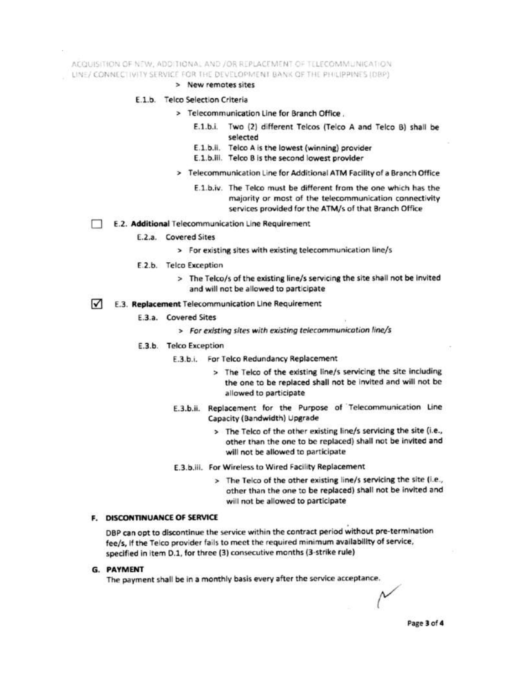ACQUISITION OF NEW, ADDITIONAL AND /OR REPLACEMENT OF TELECOMMUNICATION. LINE/ CONNECTIVITY SERVICE FOR THE DEVELOPMENT BANK OF THE PHILIPPINES (DBP)

> New remotes sites

#### E.1.b. Telco Selection Criteria

- > Telecommunication Line for Branch Office.
	- E.1.b.i. Two (2) different Telcos (Telco A and Telco B) shall be selected
	- E.1.b.ii. Telco A is the lowest (winning) provider
	- E.1.b.iii. Telco B is the second lowest provider
- > Telecommunication Line for Additional ATM Facility of a Branch Office
	- E.1.b.iv. The Telco must be different from the one which has the majority or most of the telecommunication connectivity services provided for the ATM/s of that Branch Office
- E.2. Additional Telecommunication Line Requirement
	- E.2.a. Covered Sites
		- > For existing sites with existing telecommunication line/s
	- E.2.b. Telco Exception
		- > The Telco/s of the existing line/s servicing the site shall not be invited and will not be allowed to participate
- E.3. Replacement Telecommunication Line Requirement M
	- E.3.a. Covered Sites
		- > For existing sites with existing telecommunication line/s
	- E.3.b. Telco Exception
		- E.3.b.i. For Telco Redundancy Replacement
			- > The Telco of the existing line/s servicing the site including the one to be replaced shall not be invited and will not be allowed to participate
		- E.3.b.ii. Replacement for the Purpose of Telecommunication Line Capacity (Bandwidth) Upgrade
			- > The Telco of the other existing line/s servicing the site (i.e., other than the one to be replaced) shall not be invited and will not be allowed to participate
		- E.3.b.iii. For Wireless to Wired Facility Replacement
			- > The Telco of the other existing line/s servicing the site (i.e., other than the one to be replaced) shall not be invited and will not be allowed to participate

#### **F. DISCONTINUANCE OF SERVICE**

DBP can opt to discontinue the service within the contract period without pre-termination fee/s, if the Telco provider fails to meet the required minimum availability of service, specified in item D.1, for three (3) consecutive months (3-strike rule)

#### **G. PAYMENT**

The payment shall be in a monthly basis every after the service acceptance.

Page 3 of 4